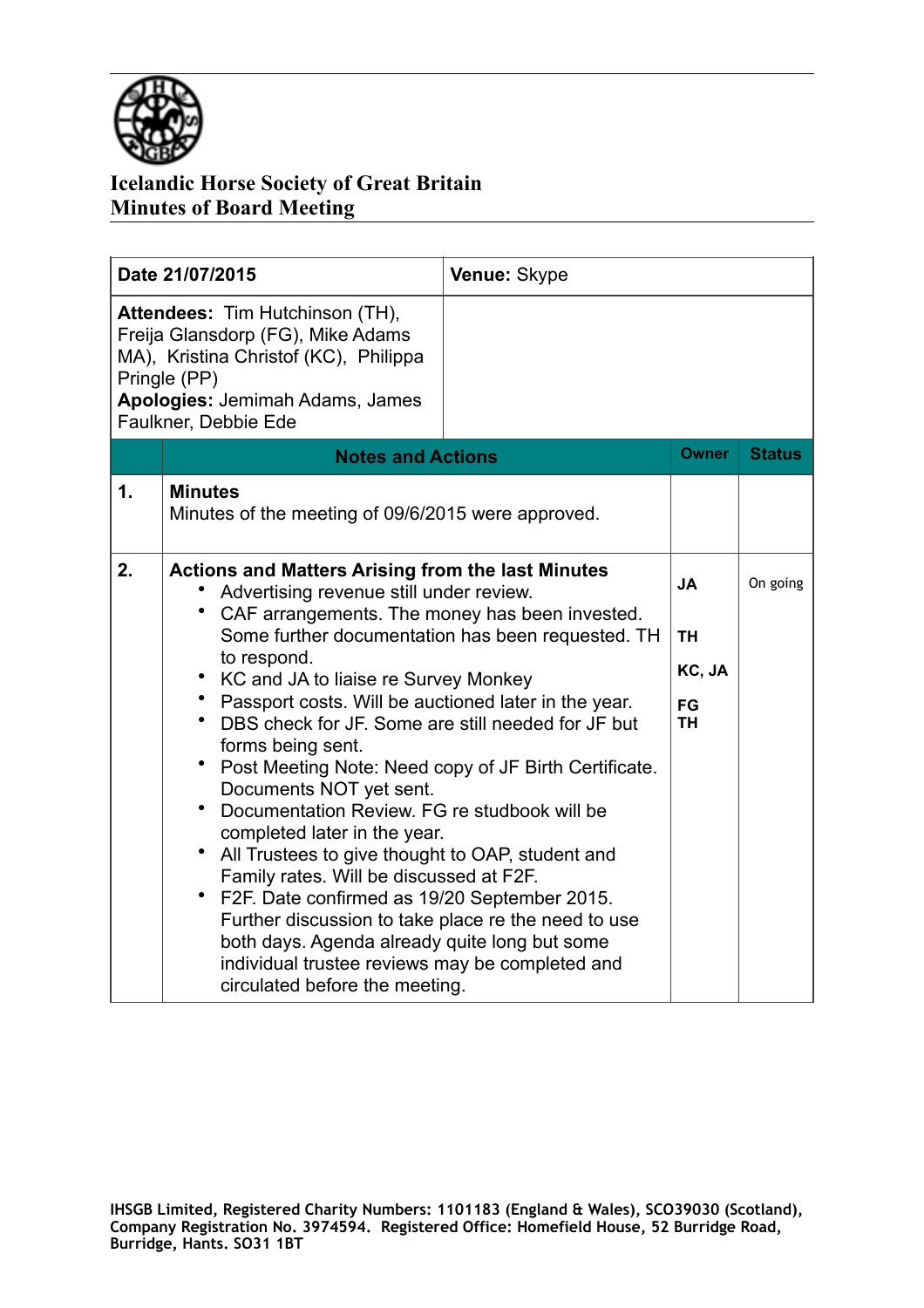

## **Icelandic Horse Society of Great Britain Minutes of Board Meeting**

| Date 21/07/2015                                                                                                                                                                          |                                                                                                                                                                                                                                                                                                                                                                                                                                                                                                                                                                                                                                                                                                                                                                                                                                                                                                                          | Venue: Skype |                                                     |               |
|------------------------------------------------------------------------------------------------------------------------------------------------------------------------------------------|--------------------------------------------------------------------------------------------------------------------------------------------------------------------------------------------------------------------------------------------------------------------------------------------------------------------------------------------------------------------------------------------------------------------------------------------------------------------------------------------------------------------------------------------------------------------------------------------------------------------------------------------------------------------------------------------------------------------------------------------------------------------------------------------------------------------------------------------------------------------------------------------------------------------------|--------------|-----------------------------------------------------|---------------|
| Attendees: Tim Hutchinson (TH),<br>Freija Glansdorp (FG), Mike Adams<br>MA), Kristina Christof (KC), Philippa<br>Pringle (PP)<br>Apologies: Jemimah Adams, James<br>Faulkner, Debbie Ede |                                                                                                                                                                                                                                                                                                                                                                                                                                                                                                                                                                                                                                                                                                                                                                                                                                                                                                                          |              |                                                     |               |
|                                                                                                                                                                                          | <b>Notes and Actions</b>                                                                                                                                                                                                                                                                                                                                                                                                                                                                                                                                                                                                                                                                                                                                                                                                                                                                                                 |              | <b>Owner</b>                                        | <b>Status</b> |
| 1.                                                                                                                                                                                       | <b>Minutes</b><br>Minutes of the meeting of 09/6/2015 were approved.                                                                                                                                                                                                                                                                                                                                                                                                                                                                                                                                                                                                                                                                                                                                                                                                                                                     |              |                                                     |               |
| 2.                                                                                                                                                                                       | <b>Actions and Matters Arising from the last Minutes</b><br>Advertising revenue still under review.<br>CAF arrangements. The money has been invested.<br>Some further documentation has been requested. TH<br>to respond.<br>• KC and JA to liaise re Survey Monkey<br>• Passport costs. Will be auctioned later in the year.<br>DBS check for JF. Some are still needed for JF but<br>forms being sent.<br>Post Meeting Note: Need copy of JF Birth Certificate.<br>Documents NOT yet sent.<br>Documentation Review. FG re studbook will be<br>completed later in the year.<br>All Trustees to give thought to OAP, student and<br>Family rates. Will be discussed at F2F.<br>F2F. Date confirmed as 19/20 September 2015.<br>Further discussion to take place re the need to use<br>both days. Agenda already quite long but some<br>individual trustee reviews may be completed and<br>circulated before the meeting. |              | <b>JA</b><br><b>TH</b><br>KC, JA<br>FG<br><b>TH</b> | On going      |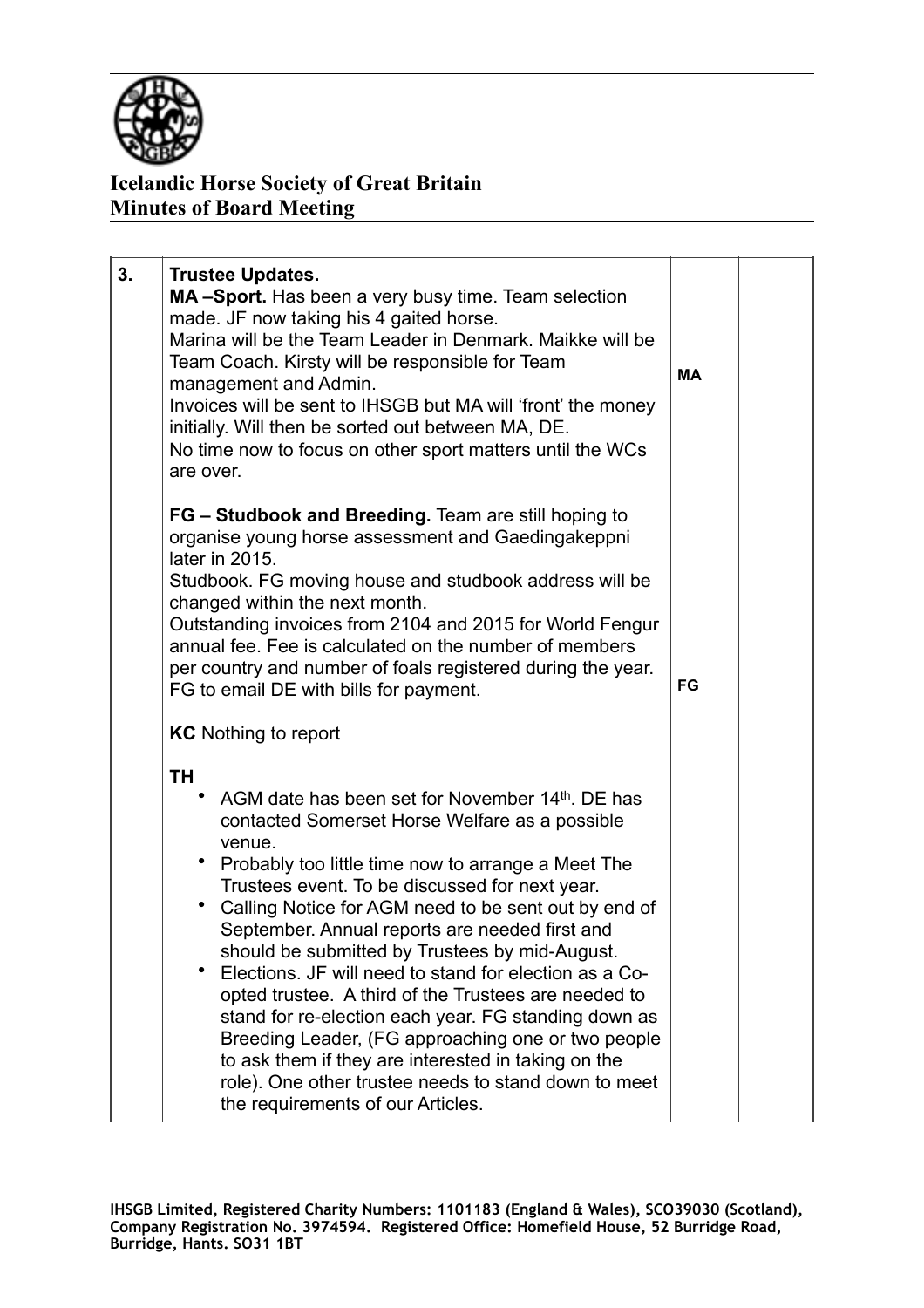

## **Icelandic Horse Society of Great Britain Minutes of Board Meeting**

| 3. | <b>Trustee Updates.</b><br>MA-Sport. Has been a very busy time. Team selection<br>made. JF now taking his 4 gaited horse.<br>Marina will be the Team Leader in Denmark. Maikke will be<br>Team Coach. Kirsty will be responsible for Team<br>management and Admin.<br>Invoices will be sent to IHSGB but MA will 'front' the money<br>initially. Will then be sorted out between MA, DE.<br>No time now to focus on other sport matters until the WCs<br>are over.                                                                                                                                                                                                                                                                                                        | <b>MA</b> |  |
|----|---------------------------------------------------------------------------------------------------------------------------------------------------------------------------------------------------------------------------------------------------------------------------------------------------------------------------------------------------------------------------------------------------------------------------------------------------------------------------------------------------------------------------------------------------------------------------------------------------------------------------------------------------------------------------------------------------------------------------------------------------------------------------|-----------|--|
|    | FG – Studbook and Breeding. Team are still hoping to<br>organise young horse assessment and Gaedingakeppni<br>later in 2015.<br>Studbook. FG moving house and studbook address will be<br>changed within the next month.<br>Outstanding invoices from 2104 and 2015 for World Fengur<br>annual fee. Fee is calculated on the number of members<br>per country and number of foals registered during the year.<br>FG to email DE with bills for payment.<br><b>KC</b> Nothing to report                                                                                                                                                                                                                                                                                    | FG        |  |
|    | ΤH<br>AGM date has been set for November 14th. DE has<br>contacted Somerset Horse Welfare as a possible<br>venue.<br>Probably too little time now to arrange a Meet The<br>Trustees event. To be discussed for next year.<br>Calling Notice for AGM need to be sent out by end of<br>September. Annual reports are needed first and<br>should be submitted by Trustees by mid-August.<br>Elections. JF will need to stand for election as a Co-<br>opted trustee. A third of the Trustees are needed to<br>stand for re-election each year. FG standing down as<br>Breeding Leader, (FG approaching one or two people<br>to ask them if they are interested in taking on the<br>role). One other trustee needs to stand down to meet<br>the requirements of our Articles. |           |  |